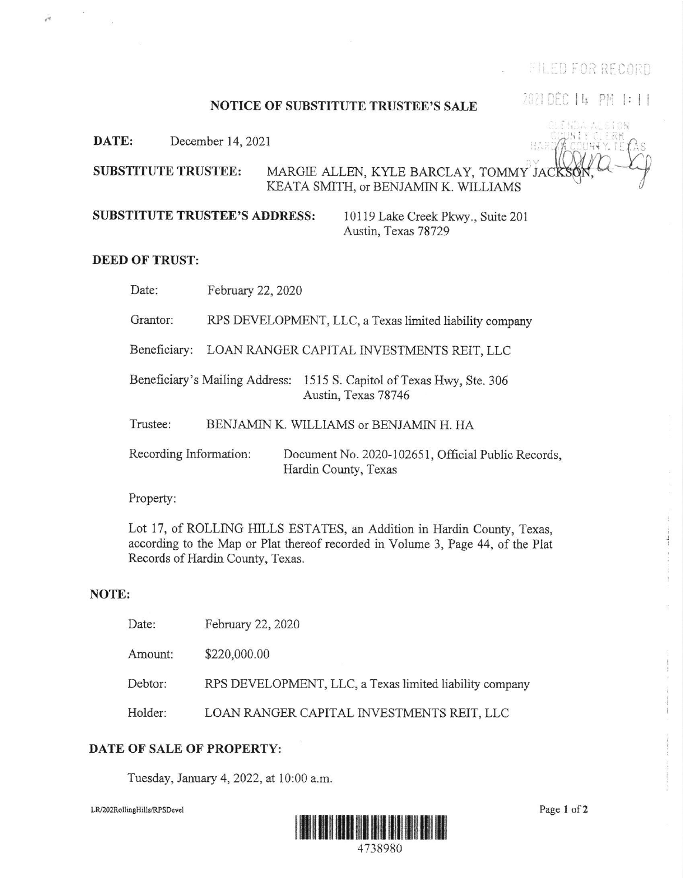**EILED FOR RECORD** 

2021 DEC | 4 PM |: | |

### **NOTICE OF SUBSTITUTE TRUSTEE'S SALE**

DATE: December 14, 2021

**SUBSTITUTE TRUSTEE:** MARGIE ALLEN, KYLE BARCLAY, TOMMY JAC KEATA SMITH, or BENJAMIN K. WILLIAMS

**SUBSTITUTE TRUSTEE'S ADDRESS:** 

10119 Lake Creek Pkwy., Suite 201 Austin, Texas 78729

## **DEED OF TRUST:**

-

Date: February 22, 2020

Grantor: RPS DEVELOPMENT, LLC, a Texas limited liability company

Beneficiary: LOAN RANGER CAPITAL INVESTMENTS REIT, LLC

Beneficiary's Mailing Address: 1515 S. Capitol of Texas Hwy, Ste. 306 Austin, Texas 78746

Trustee: BENJAMIN K. WILLIAMS or BENJAMIN H. HA

Recording Information: Document No. 2020-102651, Official Public Records, Hardin County, Texas

Property:

Lot 17, of ROLLING HILLS ESTATES, an Addition in Hardin County, Texas, according to the Map or Plat thereof recorded in Volume 3, Page 44, of the Plat Records of Hardin County, Texas.

### NOTE:

| Date:   | February 22, 2020                                       |
|---------|---------------------------------------------------------|
| Amount: | \$220,000.00                                            |
| Debtor: | RPS DEVELOPMENT, LLC, a Texas limited liability company |
| Holder: | LOAN RANGER CAPITAL INVESTMENTS REIT, LLC               |

## DATE OF SALE OF PROPERTY:

Tuesday, January 4, 2022, at 10:00 a.m.

LR/202RollingHills/RPSDevel



Page 1 of 2